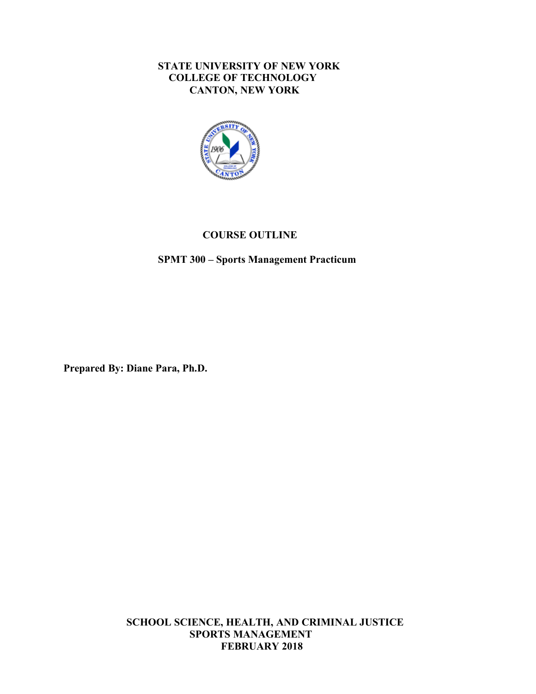### **STATE UNIVERSITY OF NEW YORK COLLEGE OF TECHNOLOGY CANTON, NEW YORK**



### **COURSE OUTLINE**

### **SPMT 300 – Sports Management Practicum**

 **Prepared By: Diane Para, Ph.D.** 

 **SCHOOL SCIENCE, HEALTH, AND CRIMINAL JUSTICE FEBRUARY 2018 SPORTS MANAGEMENT**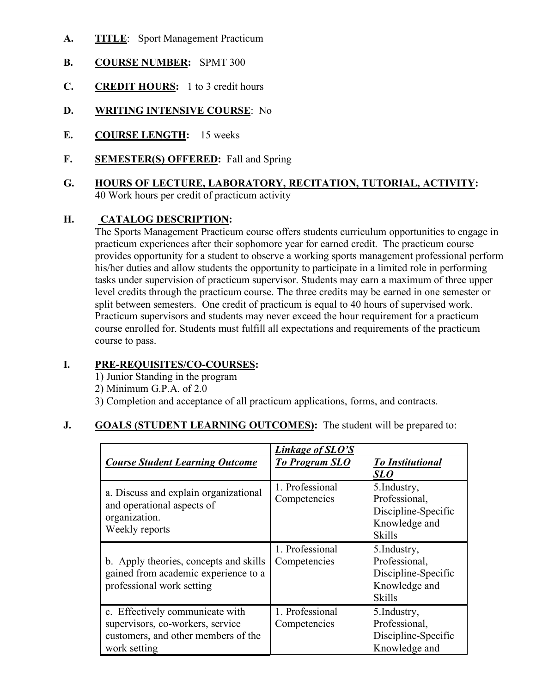- **A. TITLE**: Sport Management Practicum
- **B. COURSE NUMBER:** SPMT 300
- **C. CREDIT HOURS:** 1 to 3 credit hours
- **D. WRITING INTENSIVE COURSE**: No
- **E. COURSE LENGTH:** 15 weeks
- **F. SEMESTER(S) OFFERED:** Fall and Spring
- **G. HOURS OF LECTURE, LABORATORY, RECITATION, TUTORIAL, ACTIVITY:**  40 Work hours per credit of practicum activity

#### **H. CATALOG DESCRIPTION:**

 The Sports Management Practicum course offers students curriculum opportunities to engage in practicum experiences after their sophomore year for earned credit. The practicum course provides opportunity for a student to observe a working sports management professional perform his/her duties and allow students the opportunity to participate in a limited role in performing tasks under supervision of practicum supervisor. Students may earn a maximum of three upper level credits through the practicum course. The three credits may be earned in one semester or split between semesters. One credit of practicum is equal to 40 hours of supervised work. Practicum supervisors and students may never exceed the hour requirement for a practicum course enrolled for. Students must fulfill all expectations and requirements of the practicum course to pass.

# **I. PRE-REQUISITES/CO-COURSES:**

1) Junior Standing in the program

- 2) Minimum G.P.A. of 2.0
- 3) Completion and acceptance of all practicum applications, forms, and contracts.

# **J.** GOALS (STUDENT LEARNING OUTCOMES): The student will be prepared to:

|                                                                                                                            | Linkage of SLO'S                |                                                                                        |
|----------------------------------------------------------------------------------------------------------------------------|---------------------------------|----------------------------------------------------------------------------------------|
| <b>Course Student Learning Outcome</b>                                                                                     | <b>To Program SLO</b>           | <b>To Institutional</b><br>SL O                                                        |
| a. Discuss and explain organizational<br>and operational aspects of<br>organization.<br>Weekly reports                     | 1. Professional<br>Competencies | 5. Industry,<br>Professional,<br>Discipline-Specific<br>Knowledge and<br><b>Skills</b> |
| b. Apply theories, concepts and skills<br>gained from academic experience to a<br>professional work setting                | 1. Professional<br>Competencies | 5. Industry,<br>Professional,<br>Discipline-Specific<br>Knowledge and<br><b>Skills</b> |
| c. Effectively communicate with<br>supervisors, co-workers, service<br>customers, and other members of the<br>work setting | 1. Professional<br>Competencies | 5. Industry,<br>Professional,<br>Discipline-Specific<br>Knowledge and                  |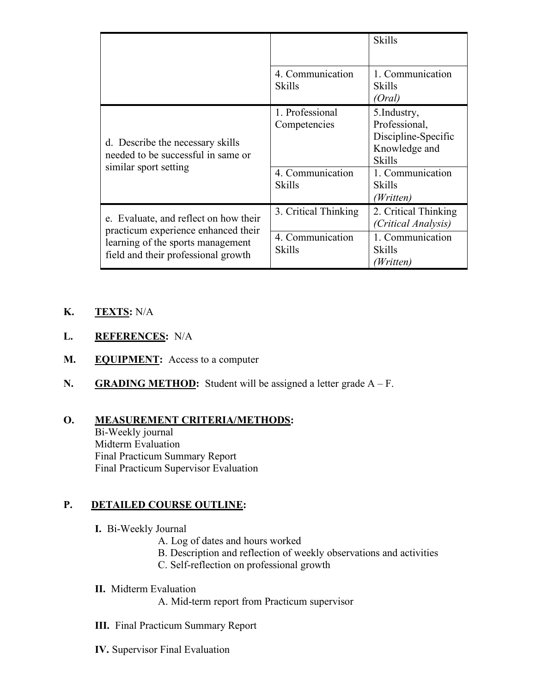|                                                                                                                                                          |                                   | <b>Skills</b>                                                                          |
|----------------------------------------------------------------------------------------------------------------------------------------------------------|-----------------------------------|----------------------------------------------------------------------------------------|
|                                                                                                                                                          | 4. Communication<br><b>Skills</b> | 1. Communication<br><b>Skills</b><br>(Oral)                                            |
| d. Describe the necessary skills<br>needed to be successful in same or<br>similar sport setting                                                          | 1. Professional<br>Competencies   | 5. Industry,<br>Professional,<br>Discipline-Specific<br>Knowledge and<br><b>Skills</b> |
|                                                                                                                                                          | 4. Communication<br><b>Skills</b> | 1. Communication<br>Skills<br>(Written)                                                |
| e. Evaluate, and reflect on how their<br>practicum experience enhanced their<br>learning of the sports management<br>field and their professional growth | 3. Critical Thinking              | 2. Critical Thinking<br>(Critical Analysis)                                            |
|                                                                                                                                                          | 4. Communication<br>Skills        | 1. Communication<br>Skills<br>(Written)                                                |

# **K. TEXTS:** N/A

- **L. REFERENCES:** N/A
- M. EQUIPMENT: Access to a computer
- **N. GRADING METHOD:** Student will be assigned a letter grade A F.

# **O. MEASUREMENT CRITERIA/METHODS:**

 Midterm Evaluation Bi-Weekly journal Final Practicum Summary Report Final Practicum Supervisor Evaluation

#### **P**. **PETAILED COURSE OUTLINE:**

- **I.** Bi-Weekly Journal
	- A. Log of dates and hours worked
	- B. Description and reflection of weekly observations and activities
	- C. Self-reflection on professional growth
- **II.** Midterm Evaluation
	- A. Mid-term report from Practicum supervisor
- **III.** Final Practicum Summary Report
- **IV.** Supervisor Final Evaluation